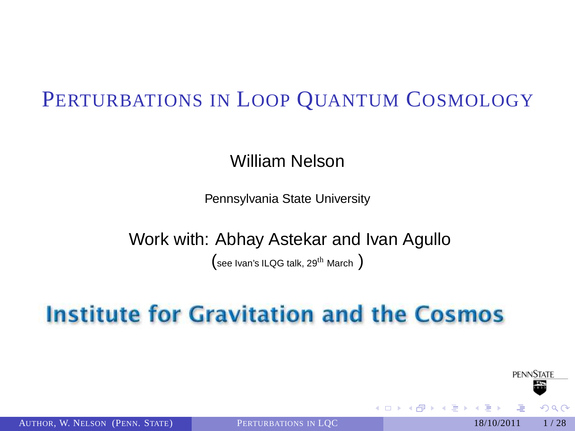# PERTURBATIONS IN LOOP QUANTUM COSMOLOGY

William Nelson

Pennsylvania State University

Work with: Abhay Astekar and Ivan Agullo

<span id="page-0-0"></span> $($ see Ivan's ILQG talk, 29<sup>th</sup> March  $)$ 

# **Institute for Gravitation and the Cosmos**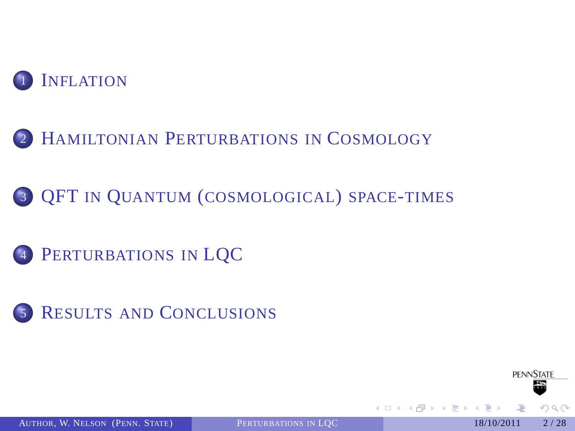

HAMILTONIAN P[ERTURBATIONS IN](#page-10-0) COSMOLOGY

QFT IN QUANTUM ([COSMOLOGICAL](#page-15-0)) SPACE-TIMES

- P[ERTURBATIONS IN](#page-19-0) LQC
- RESULTS AND C[ONCLUSIONS](#page-23-0)

AUTHOR, W. NELSON (PENN. STATE) P[ERTURBATIONS IN](#page-0-0) LOC 18/10/2011 2/28

**PENNSTATE**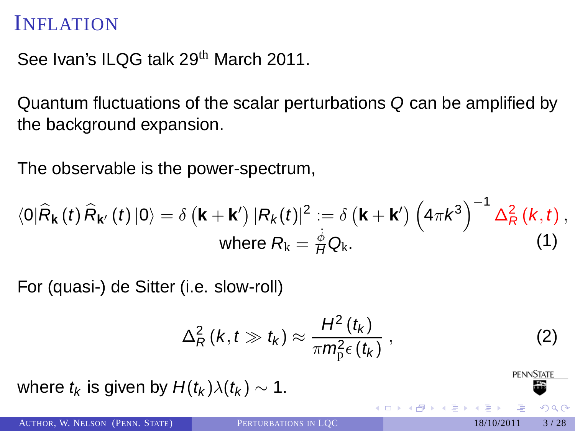See Ivan's ILQG talk 29<sup>th</sup> March 2011.

Quantum fluctuations of the scalar perturbations Q can be amplified by the background expansion.

The observable is the power-spectrum,

$$
\langle 0|\hat{R}_{\mathbf{k}}(t)\hat{R}_{\mathbf{k}'}(t)|0\rangle = \delta\left(\mathbf{k} + \mathbf{k}'\right)|R_{k}(t)|^{2} := \delta\left(\mathbf{k} + \mathbf{k}'\right)\left(4\pi k^{3}\right)^{-1}\Delta_{R}^{2}\left(k, t\right),
$$
\nwhere  $R_{k} = \frac{\dot{\phi}}{H}Q_{k}$ . (1)

For (quasi-) de Sitter (i.e. slow-roll)

$$
\Delta_R^2(k, t \gg t_k) \approx \frac{H^2(t_k)}{\pi m_p^2 \epsilon(t_k)}, \qquad (2)
$$

where  $t_k$  is given by  $H(t_k)\lambda(t_k) \sim 1$ .

<span id="page-2-0"></span>**PENNSTATE** 

 $209$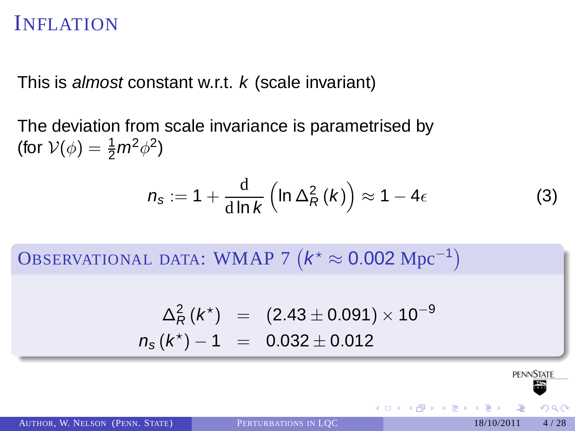This is almost constant w.r.t.  $k$  (scale invariant)

The deviation from scale invariance is parametrised by (for  $V(\phi) = \frac{1}{2} m^2 \phi^2$ )

$$
n_{\rm s} := 1 + \frac{\rm d}{\rm d\ln k} \left( \ln \Delta_R^2(k) \right) \approx 1 - 4\epsilon \tag{3}
$$

OBSERVATIONAL DATA: WMAP 7  $(k^* \approx 0.002 \text{ Mpc}^{-1})$ 

$$
\Delta_R^2(k^*) = (2.43 \pm 0.091) \times 10^{-9}
$$
  

$$
n_s(k^*) - 1 = 0.032 \pm 0.012
$$

**PENNSTATE**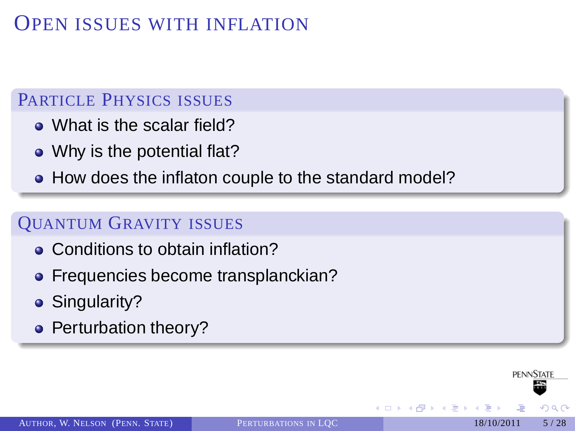## OPEN ISSUES WITH INFLATION

#### PARTICLE PHYSICS ISSUES

- What is the scalar field?
- Why is the potential flat?
- How does the inflaton couple to the standard model?

#### QUANTUM GRAVITY ISSUES

- Conditions to obtain inflation?
- Frequencies become transplanckian?
- Singularity?
- Perturbation theory?

**PENNSTATE**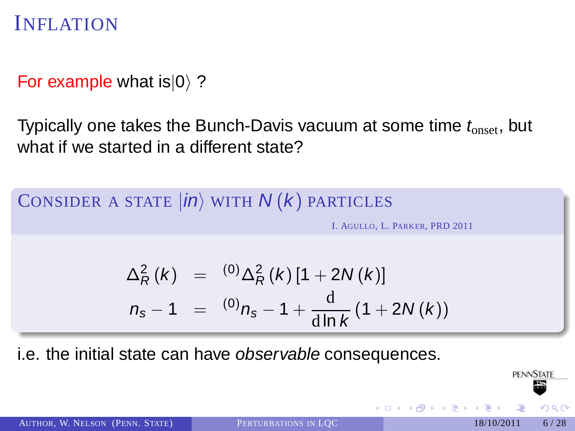For example what  $is|0\rangle$  ?

Typically one takes the Bunch-Davis vacuum at some time  $t_{\text{onset}}$ , but what if we started in a different state?

CONSIDER A STATE  $|in\rangle$  with  $N(k)$  particles

I. AGULLO, L. PARKER, PRD 2011

$$
\Delta_R^2(k) = {}^{(0)}\Delta_R^2(k) [1 + 2N(k)]
$$
  
\n
$$
n_s - 1 = {}^{(0)}n_s - 1 + \frac{d}{d\ln k} (1 + 2N(k))
$$

i.e. the initial state can have observable consequences.

AUTHOR, W. NELSON (PENN. STATE) P[ERTURBATIONS IN](#page-0-0) LOC 18/10/2011 6/28

**PENNSTATE**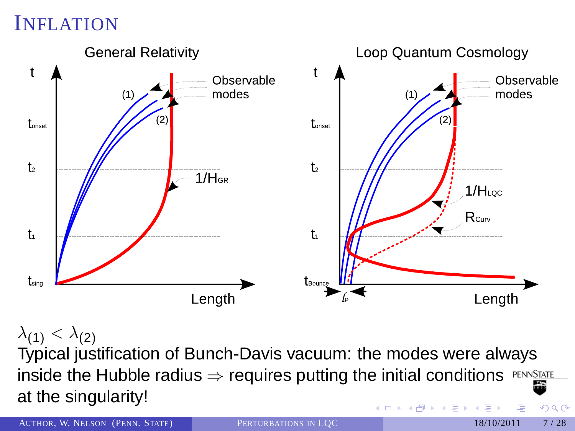

 $\lambda_{(1)} < \lambda_{(2)}$ Typical justification of Bunch-Davis vacuum: the modes were always inside the Hubble radius  $\Rightarrow$  requires putting the initial conditions  $PENNSATE$ at the singularity! イロト イ押 トイヨ トイヨ  $\Omega$ 

AUTHOR, W. NELSON (PENN. STATE) P[ERTURBATIONS IN](#page-0-0) LOC 18/10/2011 7/28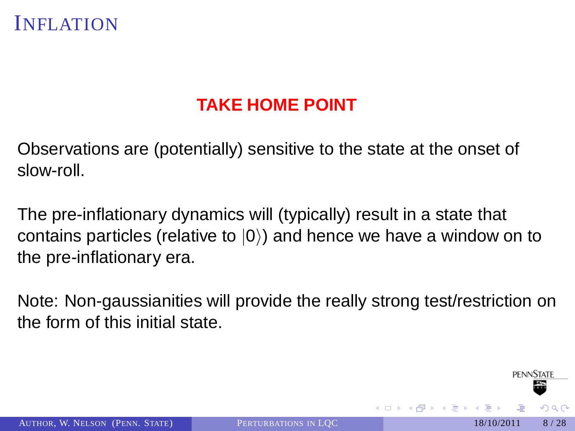### **TAKE HOME POINT**

Observations are (potentially) sensitive to the state at the onset of slow-roll.

The pre-inflationary dynamics will (typically) result in a state that contains particles (relative to  $|0\rangle$ ) and hence we have a window on to the pre-inflationary era.

Note: Non-gaussianities will provide the really strong test/restriction on the form of this initial state.

**PENNSTATE**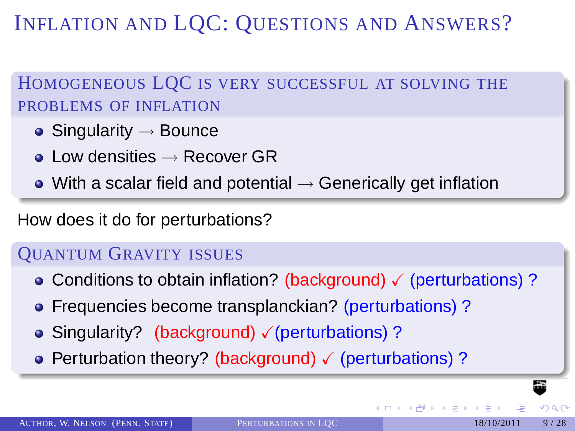INFLATION AND LQC: QUESTIONS AND ANSWERS?

### HOMOGENEOUS LQC IS VERY SUCCESSFUL AT SOLVING THE PROBLEMS OF INFLATION

- Singularity  $\rightarrow$  Bounce
- $\bullet$  Low densities  $\rightarrow$  Recover GR
- $\bullet$  With a scalar field and potential  $\rightarrow$  Generically get inflation

### How does it do for perturbations?

#### QUANTUM GRAVITY ISSUES

- Conditions to obtain inflation? (background)  $\checkmark$  (perturbations)?
- Frequencies become transplanckian? (perturbations)?
- Singularity? (background)  $\sqrt{2}$  (perturbations) ?
- Perturbation theory? (background)  $\checkmark$  (perturbations) ?

∢ □ ▶ ∢ <sup>⊖</sup>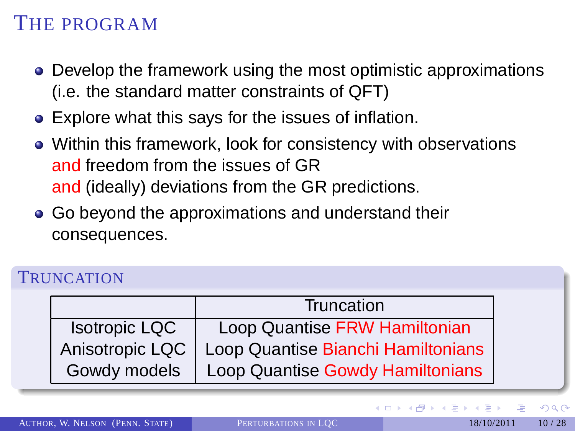# THE PROGRAM

- Develop the framework using the most optimistic approximations (i.e. the standard matter constraints of QFT)
- Explore what this says for the issues of inflation.
- Within this framework, look for consistency with observations and freedom from the issues of GR and (ideally) deviations from the GR predictions.
- Go beyond the approximations and understand their consequences.

#### **TRUNCATION**

|                      | Truncation                         |
|----------------------|------------------------------------|
| <b>Isotropic LQC</b> | Loop Quantise FRW Hamiltonian      |
| Anisotropic LQC      | Loop Quantise Bianchi Hamiltonians |
| Gowdy models         | Loop Quantise Gowdy Hamiltonians   |

 $209$ 

**← ロ ≯ ← イ 同 →** 

 $\rightarrow$   $\equiv$   $\rightarrow$   $\rightarrow$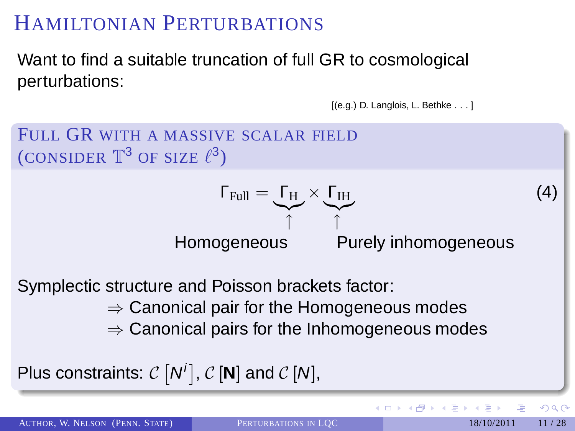Want to find a suitable truncation of full GR to cosmological perturbations:

```
[(e.g.) D. Langlois, L. Bethke . . . ]
```


AUTHOR, W. NELSON (PENN. STATE) P[ERTURBATIONS IN](#page-0-0) LOC 18/10/2011 11/28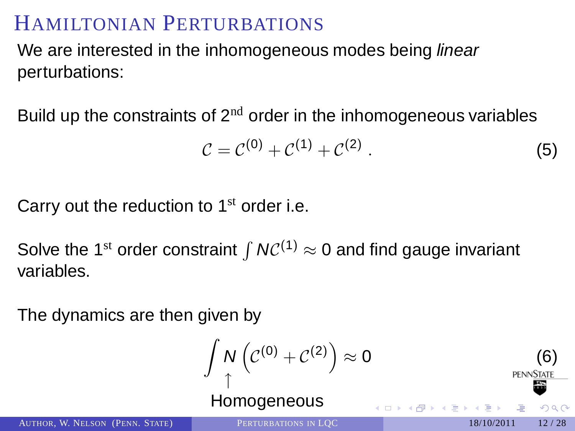We are interested in the inhomogeneous modes being *linear* perturbations:

Build up the constraints of  $2<sup>nd</sup>$  order in the inhomogeneous variables

$$
C = C^{(0)} + C^{(1)} + C^{(2)} . \tag{5}
$$

Carry out the reduction to  $1<sup>st</sup>$  order i.e.

Solve the 1<sup>st</sup> order constraint  $\int NC^{(1)} \approx 0$  and find gauge invariant variables.

The dynamics are then given by

$$
\int_{\uparrow} N\left(\mathcal{C}^{(0)} + \mathcal{C}^{(2)}\right) \approx 0
$$
\nHomogeneous

\nPROBLEM DOS N-LOC

\nPROBLEM DOS N-LOC

\n1840/2011, 12/28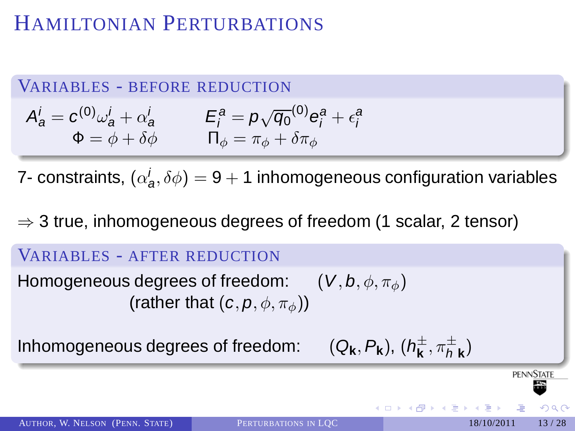#### VARIABLES - BEFORE REDUCTION

$$
A_{a}^{i} = c^{(0)}\omega_{a}^{i} + \alpha_{a}^{i} \qquad E_{i}^{a} = p\sqrt{q_{0}}^{(0)}e_{i}^{a} + \epsilon_{i}^{a}
$$
  
\n
$$
\Phi = \phi + \delta\phi \qquad \Pi_{\phi} = \pi_{\phi} + \delta\pi_{\phi}
$$

7- constraints,  $(\alpha_{\boldsymbol{a}}^i, \delta \phi) = 9 + 1$  inhomogeneous configuration variables

#### $\Rightarrow$  3 true, inhomogeneous degrees of freedom (1 scalar, 2 tensor)

#### VARIABLES - AFTER REDUCTION

Homogeneous degrees of freedom:  $(V, b, \phi, \pi_{\phi})$ (rather that  $(c, p, \phi, \pi_{\phi})$ )

Inhomogeneous degrees of freedom:

$$
(\mathsf{Q}_\mathbf{k},\mathsf{P}_\mathbf{k}),(\mathsf{h}^\pm_\mathbf{k},\pi^\pm_\mathsf{h}_\mathbf{k})
$$

**PENNSTATI** 

 $209$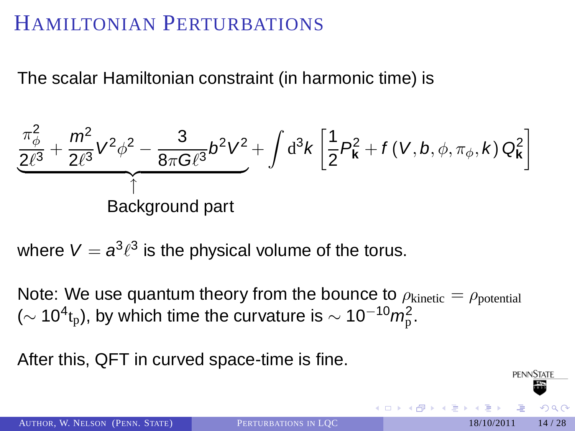The scalar Hamiltonian constraint (in harmonic time) is

$$
\frac{\pi_{\phi}^2}{2\ell^3} + \frac{m^2}{2\ell^3} V^2 \phi^2 - \frac{3}{8\pi G\ell^3} b^2 V^2 + \int d^3k \left[ \frac{1}{2} P_{\mathbf{k}}^2 + f(V, b, \phi, \pi_{\phi}, k) Q_{\mathbf{k}}^2 \right]
$$
  
Background part

where  $\mathsf{V}=\boldsymbol{a}^3\ell^3$  is the physical volume of the torus.

Note: We use quantum theory from the bounce to  $\rho_{\text{kinetic}} = \rho_{\text{potential}}$ ( $\sim$  10<sup>4</sup>t<sub>p</sub>), by which time the curvature is  $\sim$  10<sup>-10</sup>m<sub>p</sub><sup>2</sup>.

After this, QFT in curved space-time is fine.

**PFNNSTATI**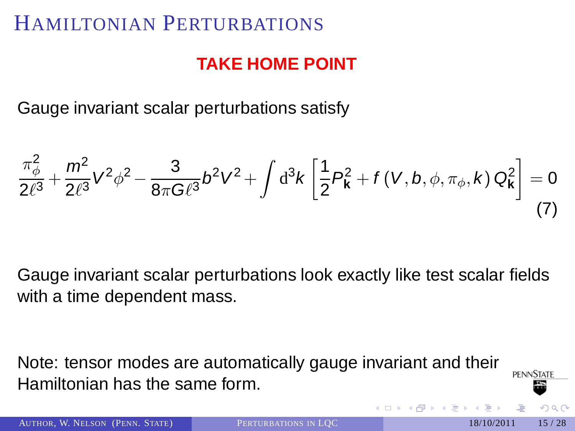### **TAKE HOME POINT**

Gauge invariant scalar perturbations satisfy

$$
\frac{\pi_{\phi}^{2}}{2\ell^{3}} + \frac{m^{2}}{2\ell^{3}}V^{2}\phi^{2} - \frac{3}{8\pi G\ell^{3}}b^{2}V^{2} + \int d^{3}k \left[\frac{1}{2}P_{\mathbf{k}}^{2} + f(V,b,\phi,\pi_{\phi},k) Q_{\mathbf{k}}^{2}\right] = 0
$$
\n(7)

Gauge invariant scalar perturbations look exactly like test scalar fields with a time dependent mass.

Note: tensor modes are automatically gauge invariant and their **PENNSTATE** Hamiltonian has the same form.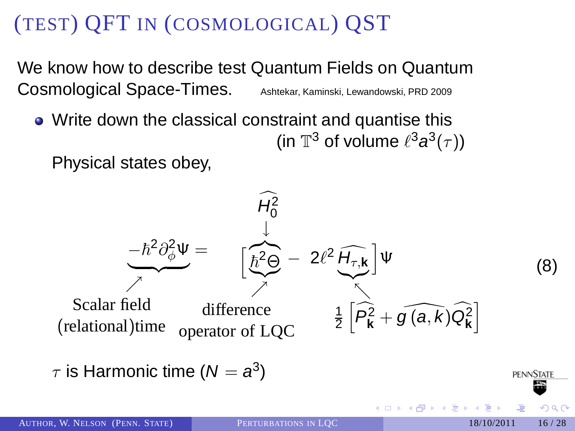We know how to describe test Quantum Fields on Quantum Cosmological Space-Times. Ashtekar, Kaminski, Lewandowski, PRD 2009

Write down the classical constraint and quantise this (in  $\mathbb{T}^3$  of volume  $\ell^3 a^3(\tau)$ )

Physical states obey,



 $\tau$  is Harmonic time ( $N=a^3)$ 

<span id="page-15-0"></span>**PENNSTATE** 

 $209$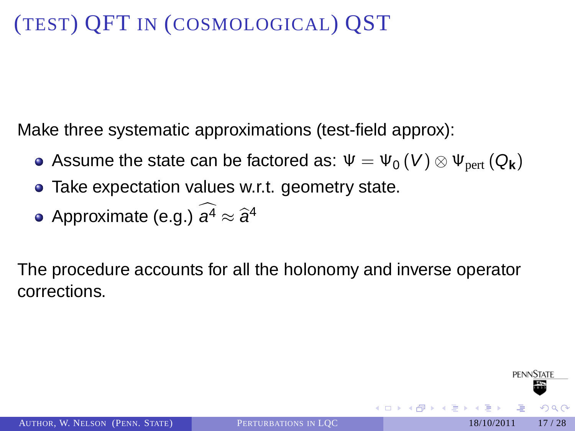Make three systematic approximations (test-field approx):

- Assume the state can be factored as:  $\Psi = \Psi_0(V) \otimes \Psi_{\text{pert}}(Q_{\mathbf{k}})$
- Take expectation values w.r.t. geometry state.
- Approximate (e.g.)  $a^4 \approx \hat{a}^4$

The procedure accounts for all the holonomy and inverse operator corrections.

**PENNSTATE** 

 $209$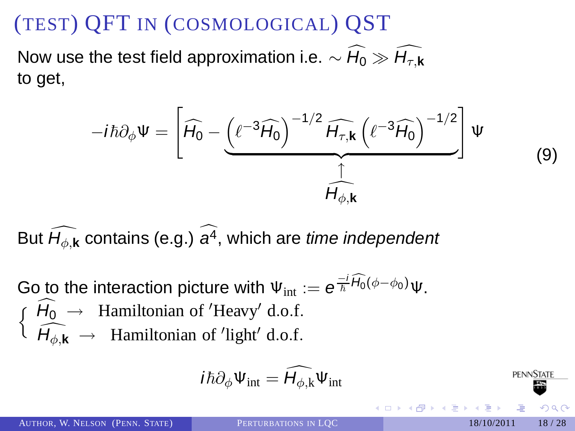Now use the test field approximation i.e.  $\sim \widehat{H_0} \gg \widehat{H_{\tau,k}}$ to get,

$$
-i\hbar\partial_{\phi}\Psi=\left[\widehat{H_{0}}-\underbrace{\left(\ell^{-3}\widehat{H_{0}}\right)^{-1/2}\widehat{H_{\tau,\boldsymbol{k}}}\left(\ell^{-3}\widehat{H_{0}}\right)^{-1/2}}_{\widehat{H_{\phi,\boldsymbol{k}}}}\right]\Psi
$$

But  $\widehat{H_{\phi k}}$  contains (e.g.)  $\widehat{a^4}$ , which are *time independent* 

Go to the interaction picture with  $\Psi_\mathrm{int} := \mathbf{e}^{-\frac{i}{\hbar} \widehat{H}_0(\phi - \phi_0)} \Psi.$  $\oint \widehat{H_0}$  → Hamiltonian of 'Heavy' d.o.f.  $\widehat{H_{\phi,\mathbf{k}}} \rightarrow$  Hamiltonian of 'light' d.o.f.

$$
i\hbar\partial_{\phi}\Psi_{int} = \widehat{H_{\phi,k}}\Psi_{int}
$$

(9)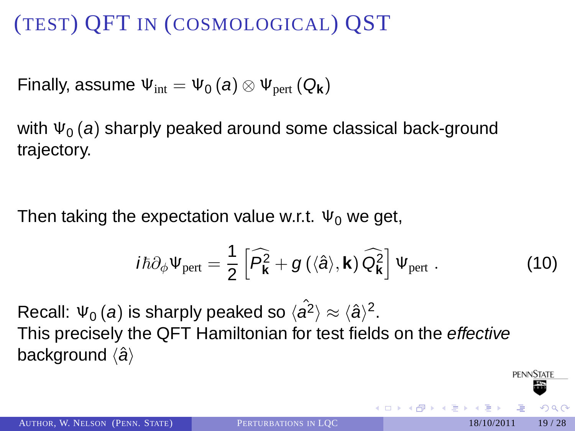Finally, assume  $\Psi_{\text{int}} = \Psi_0(a) \otimes \Psi_{\text{pert}}(Q_{\mathbf{k}})$ 

with  $\Psi_0(a)$  sharply peaked around some classical back-ground trajectory.

Then taking the expectation value w.r.t.  $\Psi_0$  we get,

$$
i\hbar\partial_{\phi}\Psi_{\text{pert}}=\frac{1}{2}\left[\widehat{P}_{\mathbf{k}}^{2}+g\left(\langle\hat{a}\rangle,\mathbf{k}\right)\widehat{Q}_{\mathbf{k}}^{2}\right]\Psi_{\text{pert}}\ .\hspace{1.5cm}\textbf{(10)}
$$

Recall:  $\Psi_0(a)$  is sharply peaked so  $\langle \hat{a}^2 \rangle \approx \langle \hat{a} \rangle^2$ . This precisely the QFT Hamiltonian for test fields on the effective background  $\langle \hat{a} \rangle$ 

**PENNSTATE**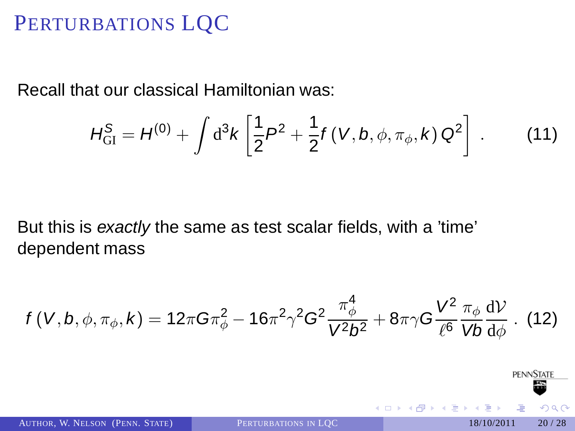## PERTURBATIONS LQC

Recall that our classical Hamiltonian was:

$$
H_{\text{GI}}^{\text{S}} = H^{(0)} + \int \mathrm{d}^3 k \left[ \frac{1}{2} P^2 + \frac{1}{2} f(V, b, \phi, \pi_{\phi}, k) Q^2 \right] \ . \tag{11}
$$

But this is exactly the same as test scalar fields, with a 'time' dependent mass

$$
f(V, b, \phi, \pi_{\phi}, k) = 12\pi G \pi_{\phi}^{2} - 16\pi^{2} \gamma^{2} G^{2} \frac{\pi_{\phi}^{4}}{V^{2} b^{2}} + 8\pi \gamma G \frac{V^{2}}{\ell^{6}} \frac{\pi_{\phi}}{V b} \frac{dV}{d\phi}. (12)
$$

AUTHOR, W. NELSON (PENN. STATE) P[ERTURBATIONS IN](#page-0-0) LOC 18/10/2011 20/28

4 **D** F

<span id="page-19-0"></span>

**PENNSTATE**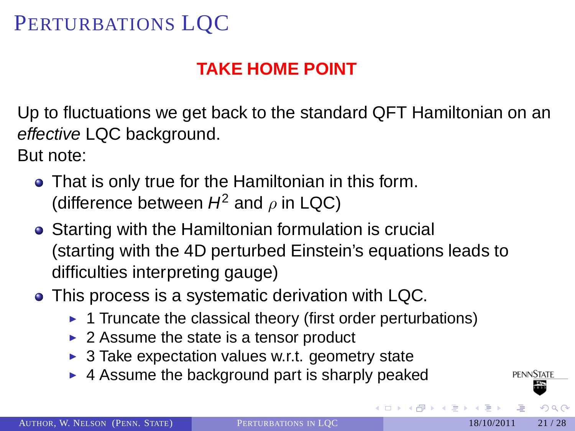# PERTURBATIONS LQC

## **TAKE HOME POINT**

Up to fluctuations we get back to the standard QFT Hamiltonian on an effective LQC background.

But note:

- That is only true for the Hamiltonian in this form. (difference between  $H^2$  and  $\rho$  in LQC)
- Starting with the Hamiltonian formulation is crucial (starting with the 4D perturbed Einstein's equations leads to difficulties interpreting gauge)
- This process is a systematic derivation with LQC.
	- $\triangleright$  1 Truncate the classical theory (first order perturbations)
	- $\triangleright$  2 Assume the state is a tensor product
	- $\triangleright$  3 Take expectation values w.r.t. geometry state
	- $\blacktriangleright$  4 Assume the background part is sharply peaked

**PENNSTATE**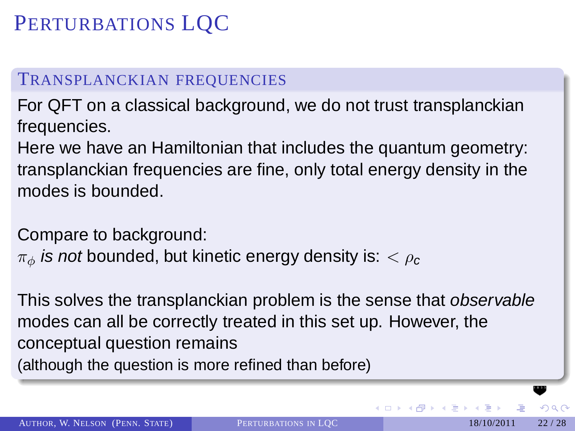# PERTURBATIONS LQC

#### TRANSPLANCKIAN FREQUENCIES

For QFT on a classical background, we do not trust transplanckian frequencies.

Here we have an Hamiltonian that includes the quantum geometry: transplanckian frequencies are fine, only total energy density in the modes is bounded.

Compare to background:

 $\pi_{\phi}$  is not bounded, but kinetic energy density is:  $\lt \rho_c$ 

This solves the transplanckian problem is the sense that observable modes can all be correctly treated in this set up. However, the conceptual question remains (although the question is more refined than before)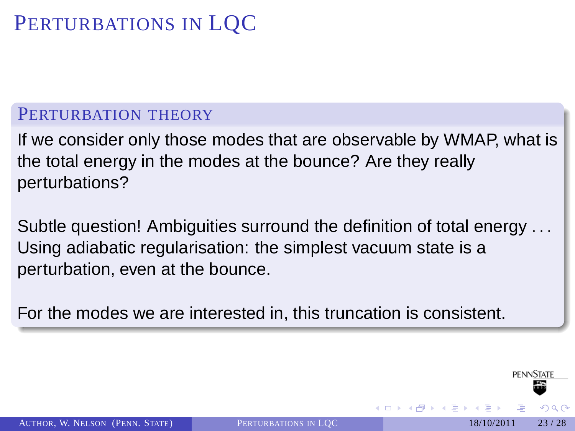# PERTURBATIONS IN LQC

#### PERTURBATION THEORY

If we consider only those modes that are observable by WMAP, what is the total energy in the modes at the bounce? Are they really perturbations?

Subtle question! Ambiguities surround the definition of total energy . . . Using adiabatic regularisation: the simplest vacuum state is a perturbation, even at the bounce.

For the modes we are interested in, this truncation is consistent.

**PENNSTATE**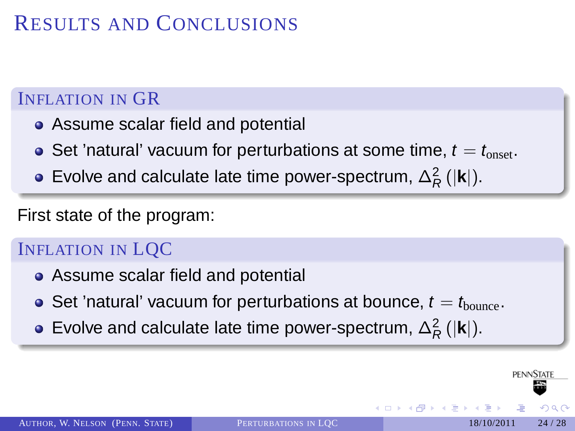# RESULTS AND CONCLUSIONS

### INFLATION IN GR

- Assume scalar field and potential
- Set 'natural' vacuum for perturbations at some time,  $t = t_{\text{onset}}$ .
- Evolve and calculate late time power-spectrum,  $\Delta_R^2$  ( $|\mathbf{k}|$ ).

First state of the program:

### INFLATION IN LQC

- Assume scalar field and potential
- Set 'natural' vacuum for perturbations at bounce,  $t = t_{\text{bounce}}$ .
- Evolve and calculate late time power-spectrum,  $\Delta_R^2$  ( $|\mathbf{k}|$ ).

AUTHOR, W. NELSON (PENN. STATE) P[ERTURBATIONS IN](#page-0-0) LOC 18/10/2011 24/28

<span id="page-23-0"></span>PENNSTATI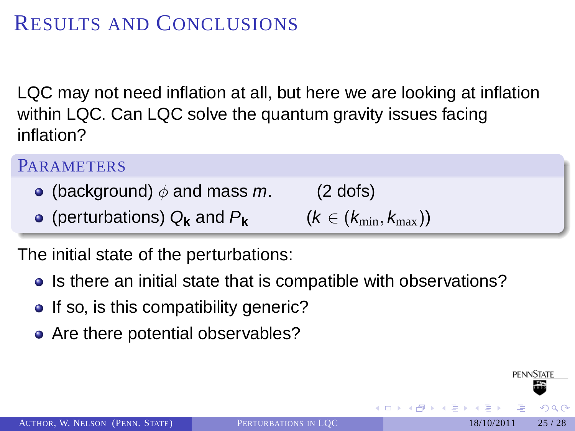# RESULTS AND CONCLUSIONS

LQC may not need inflation at all, but here we are looking at inflation within LQC. Can LQC solve the quantum gravity issues facing inflation?

#### **PARAMETERS**

- (background)  $\phi$  and mass m. (2 dofs)
- **•** (perturbations) Q<sub>k</sub> and P<sub>k</sub>

$$
(k \in (k_{\min}, k_{\max}))
$$

The initial state of the perturbations:

- Is there an initial state that is compatible with observations?
- If so, is this compatibility generic?
- Are there potential observables?

**PENNSTATE**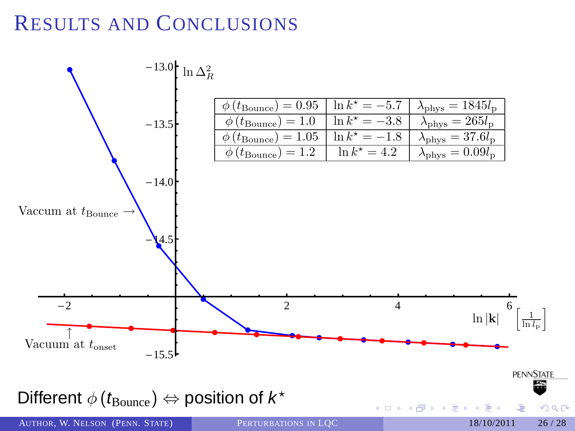# RESULTS AND CONCLUSIONS

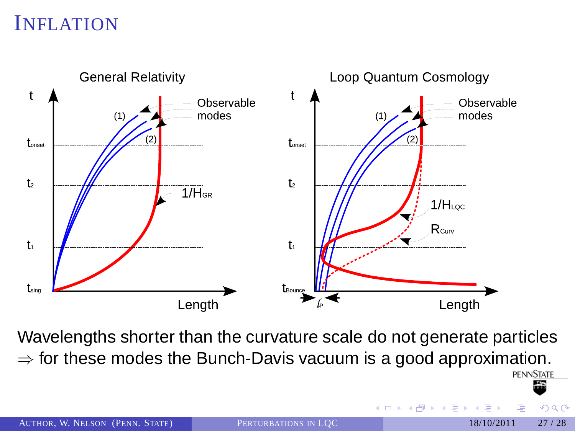

Wavelengths shorter than the curvature scale do not generate particles  $\Rightarrow$  for these modes the Bunch-Davis vacuum is a good approximation.<br>PENNSTATE

4 **D** F